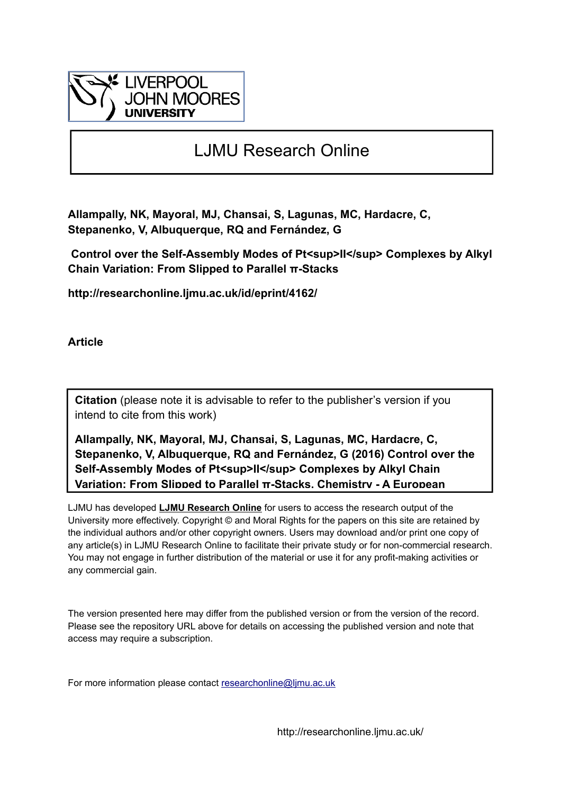

# LJMU Research Online

**Allampally, NK, Mayoral, MJ, Chansai, S, Lagunas, MC, Hardacre, C, Stepanenko, V, Albuquerque, RQ and Fernández, G**

Control over the Self-Assembly Modes of Pt<sup>II</sup> Complexes by Alkyl **Chain Variation: From Slipped to Parallel π-Stacks**

**http://researchonline.ljmu.ac.uk/id/eprint/4162/**

**Article**

**Citation** (please note it is advisable to refer to the publisher's version if you intend to cite from this work)

**Allampally, NK, Mayoral, MJ, Chansai, S, Lagunas, MC, Hardacre, C, Stepanenko, V, Albuquerque, RQ and Fernández, G (2016) Control over the**  Self-Assembly Modes of Pt<sup>II</sup> Complexes by Alkyl Chain **Variation: From Slipped to Parallel π-Stacks. Chemistry - A European** 

LJMU has developed **[LJMU Research Online](http://researchonline.ljmu.ac.uk/)** for users to access the research output of the University more effectively. Copyright © and Moral Rights for the papers on this site are retained by the individual authors and/or other copyright owners. Users may download and/or print one copy of any article(s) in LJMU Research Online to facilitate their private study or for non-commercial research. You may not engage in further distribution of the material or use it for any profit-making activities or any commercial gain.

The version presented here may differ from the published version or from the version of the record. Please see the repository URL above for details on accessing the published version and note that access may require a subscription.

For more information please contact researchonline@limu.ac.uk

http://researchonline.ljmu.ac.uk/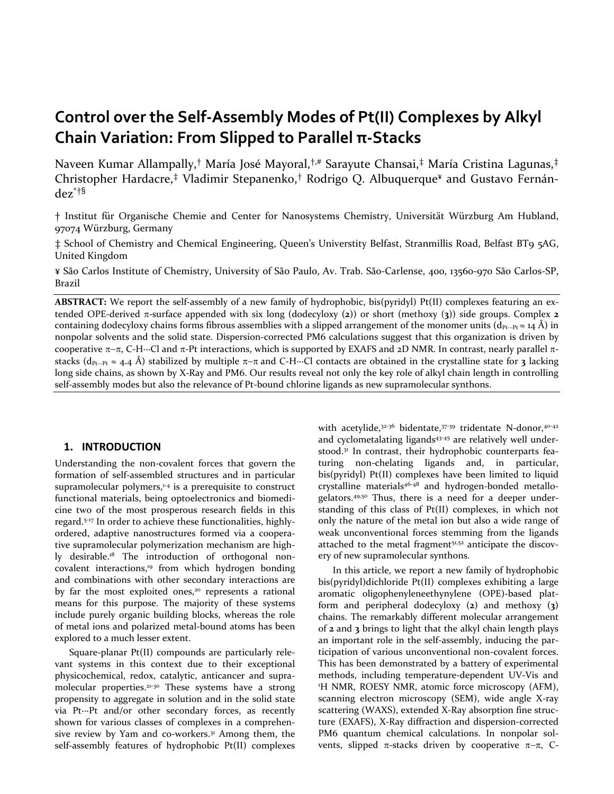# **Control over the Self-Assembly Modes of Pt(II) Complexes by Alkyl Chain Variation: From Slipped to Parallel π-Stacks**

Naveen Kumar Allampally,† María José Mayoral,†,# Sarayute Chansai,‡ María Cristina Lagunas,‡ Christopher Hardacre,‡ Vladimir Stepanenko,† Rodrigo Q. Albuquerque¥ and Gustavo Fernández\*†§

† Institut für Organische Chemie and Center for Nanosystems Chemistry, Universität Würzburg Am Hubland, 97074 Würzburg, Germany

‡ School of Chemistry and Chemical Engineering, Queen's Universtity Belfast, Stranmillis Road, Belfast BT9 5AG, United Kingdom

¥ São Carlos Institute of Chemistry, University of São Paulo, Av. Trab. São-Carlense, 400, 13560-970 São Carlos-SP, Brazil

**ABSTRACT:** We report the self-assembly of a new family of hydrophobic, bis(pyridyl) Pt(II) complexes featuring an extended OPE-derived π-surface appended with six long (dodecyloxy (**2**)) or short (methoxy (**3**)) side groups. Complex **2** containing dodecyloxy chains forms fibrous assemblies with a slipped arrangement of the monomer units (d<sub>Pt</sub><sub>∙</sub><sub>∙</sub>Pt ≈ 14 Å) in nonpolar solvents and the solid state. Dispersion-corrected PM6 calculations suggest that this organization is driven by cooperative π−π, C-H∙∙∙Cl and π-Pt interactions, which is supported by EXAFS and 2D NMR. In contrast, nearly parallel πstacks (dPt∙∙∙Pt ≈ 4.4 Å) stabilized by multiple π−π and C-H∙∙∙Cl contacts are obtained in the crystalline state for **3** lacking long side chains, as shown by X-Ray and PM6. Our results reveal not only the key role of alkyl chain length in controlling self-assembly modes but also the relevance of Pt-bound chlorine ligands as new supramolecular synthons.

# **1. INTRODUCTION**

Understanding the non-covalent forces that govern the formation of self-assembled structures and in particular supramolecular polymers, $1-4$  is a prerequisite to construct functional materials, being optoelectronics and biomedicine two of the most prosperous research fields in this regard.5-17 In order to achieve these functionalities, highlyordered, adaptive nanostructures formed via a cooperative supramolecular polymerization mechanism are highly desirable.18 The introduction of orthogonal noncovalent interactions,<sup>19</sup> from which hydrogen bonding and combinations with other secondary interactions are by far the most exploited ones,<sup>20</sup> represents a rational means for this purpose. The majority of these systems include purely organic building blocks, whereas the role of metal ions and polarized metal-bound atoms has been explored to a much lesser extent.

 Square-planar Pt(II) compounds are particularly relevant systems in this context due to their exceptional physicochemical, redox, catalytic, anticancer and supramolecular properties.<sup>21-30</sup> These systems have a strong propensity to aggregate in solution and in the solid state via Pt∙∙∙Pt and/or other secondary forces, as recently shown for various classes of complexes in a comprehensive review by Yam and co-workers.<sup>31</sup> Among them, the self-assembly features of hydrophobic Pt(II) complexes

with acetylide,<sup>32-36</sup> bidentate,<sup>37-39</sup> tridentate N-donor,<sup>40-42</sup> and cyclometalating ligands<sup>43-45</sup> are relatively well understood.<sup>31</sup> In contrast, their hydrophobic counterparts featuring non-chelating ligands and, in particular, bis(pyridyl) Pt(II) complexes have been limited to liquid crystalline materials<sup>46-48</sup> and hydrogen-bonded metallogelators.49,50 Thus, there is a need for a deeper understanding of this class of Pt(II) complexes, in which not only the nature of the metal ion but also a wide range of weak unconventional forces stemming from the ligands attached to the metal fragment51,52 anticipate the discovery of new supramolecular synthons.

 In this article, we report a new family of hydrophobic bis(pyridyl)dichloride Pt(II) complexes exhibiting a large aromatic oligophenyleneethynylene (OPE)-based platform and peripheral dodecyloxy (**2**) and methoxy (**3**) chains. The remarkably different molecular arrangement of **2** and **3** brings to light that the alkyl chain length plays an important role in the self-assembly, inducing the participation of various unconventional non-covalent forces. This has been demonstrated by a battery of experimental methods, including temperature-dependent UV-Vis and 1 H NMR, ROESY NMR, atomic force microscopy (AFM), scanning electron microscopy (SEM), wide angle X-ray scattering (WAXS), extended X-Ray absorption fine structure (EXAFS), X-Ray diffraction and dispersion-corrected PM6 quantum chemical calculations. In nonpolar solvents, slipped  $\pi$ -stacks driven by cooperative  $\pi-\pi$ , C-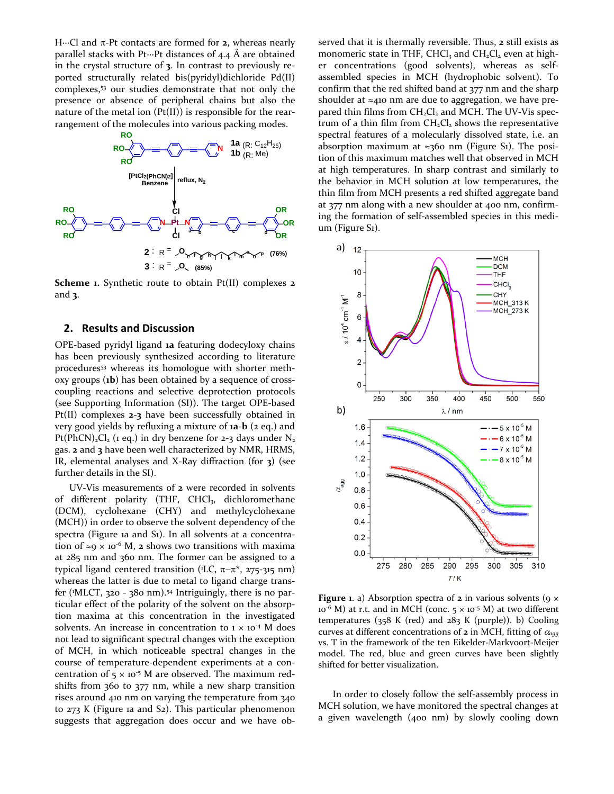H∙∙∙Cl and π-Pt contacts are formed for **2**, whereas nearly parallel stacks with Pt∙∙∙Pt distances of 4.4 Å are obtained in the crystal structure of **3**. In contrast to previously reported structurally related bis(pyridyl)dichloride Pd(II) complexes,53 our studies demonstrate that not only the presence or absence of peripheral chains but also the nature of the metal ion (Pt(II)) is responsible for the rearrangement of the molecules into various packing modes.



**Scheme 1.** Synthetic route to obtain Pt(II) complexes **2** and **3**.

#### **2. Results and Discussion**

OPE-based pyridyl ligand **1a** featuring dodecyloxy chains has been previously synthesized according to literature procedures<sup>53</sup> whereas its homologue with shorter methoxy groups (**1b**) has been obtained by a sequence of crosscoupling reactions and selective deprotection protocols (see Supporting Information (SI)). The target OPE-based Pt(II) complexes **2**-**3** have been successfully obtained in very good yields by refluxing a mixture of **1a**-**b** (2 eq.) and Pt(PhCN)<sub>2</sub>Cl<sub>2</sub> (1 eq.) in dry benzene for 2-3 days under  $N_2$ gas. **2** and **3** have been well characterized by NMR, HRMS, IR, elemental analyses and X-Ray diffraction (for **3**) (see further details in the SI).

 UV-Vis measurements of **2** were recorded in solvents of different polarity (THF, CHCl<sub>3</sub>, dichloromethane (DCM), cyclohexane (CHY) and methylcyclohexane (MCH)) in order to observe the solvent dependency of the spectra (Figure 1a and S1). In all solvents at a concentration of  $\approx$ 9 × 10<sup>-6</sup> M, 2 shows two transitions with maxima at 285 nm and 360 nm. The former can be assigned to a typical ligand centered transition (<sup>1</sup>LC,  $\pi-\pi^*$ , 275-315 nm) whereas the latter is due to metal to ligand charge transfer (1 MLCT, 320 - 380 nm).54 Intriguingly, there is no particular effect of the polarity of the solvent on the absorption maxima at this concentration in the investigated solvents. An increase in concentration to  $1 \times 10^{-4}$  M does not lead to significant spectral changes with the exception of MCH, in which noticeable spectral changes in the course of temperature-dependent experiments at a concentration of  $5 \times 10^{-5}$  M are observed. The maximum redshifts from 360 to 377 nm, while a new sharp transition rises around 410 nm on varying the temperature from 340 to 273 K (Figure 1a and S2). This particular phenomenon suggests that aggregation does occur and we have observed that it is thermally reversible. Thus, **2** still exists as monomeric state in THF, CHCl<sub>3</sub> and CH<sub>2</sub>Cl<sub>2</sub> even at higher concentrations (good solvents), whereas as selfassembled species in MCH (hydrophobic solvent). To confirm that the red shifted band at 377 nm and the sharp shoulder at  $\approx$ 410 nm are due to aggregation, we have prepared thin films from  $CH<sub>2</sub>Cl<sub>2</sub>$  and MCH. The UV-Vis spectrum of a thin film from  $CH<sub>2</sub>Cl<sub>2</sub>$  shows the representative spectral features of a molecularly dissolved state, i.e. an absorption maximum at ≈360 nm (Figure S1). The position of this maximum matches well that observed in MCH at high temperatures. In sharp contrast and similarly to the behavior in MCH solution at low temperatures, the thin film from MCH presents a red shifted aggregate band at 377 nm along with a new shoulder at 400 nm, confirming the formation of self-assembled species in this medium (Figure S1).



**Figure 1.** a) Absorption spectra of **2** in various solvents ( $9 \times$  $10^{-6}$  M) at r.t. and in MCH (conc.  $5 \times 10^{-5}$  M) at two different temperatures (358 K (red) and 283 K (purple)). b) Cooling curves at different concentrations of **2** in MCH, fitting of <sup>α</sup>*agg* vs. T in the framework of the ten Eikelder-Markvoort-Meijer model. The red, blue and green curves have been slightly shifted for better visualization.

 In order to closely follow the self-assembly process in MCH solution, we have monitored the spectral changes at a given wavelength (400 nm) by slowly cooling down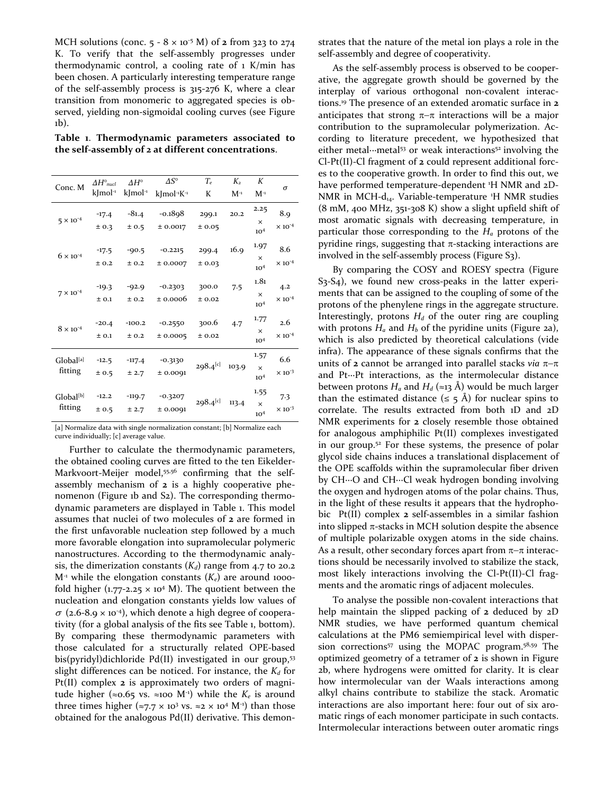MCH solutions (conc.  $5 - 8 \times 10^{-5}$  M) of **2** from 323 to 274 K. To verify that the self-assembly progresses under thermodynamic control, a cooling rate of  $1$  K/min has been chosen. A particularly interesting temperature range of the self-assembly process is 315-276 K, where a clear transition from monomeric to aggregated species is observed, yielding non-sigmoidal cooling curves (see Figure 1b).

**Table 1**. **Thermodynamic parameters associated to the self-assembly of 2 at different concentrations**.

| Conc. M                          | $\Delta H^{\circ}$ <sub>nucl</sub> | $\Delta H^{\circ}$     | $\Delta S^{\circ}$                  | $T_e$          | $K_{2}$  | K                           | σ                       |
|----------------------------------|------------------------------------|------------------------|-------------------------------------|----------------|----------|-----------------------------|-------------------------|
|                                  | $k$ Jmol <sup>-1</sup>             | $k$ Jmol <sup>-1</sup> | kImol <sup>-1</sup> K <sup>-1</sup> | K              | $M^{-1}$ | $M^{-1}$                    |                         |
| $5 \times 10^{-4}$               | $-17.4$                            | $-81.4$                | $-0.1898$                           | 299.1          | 20.2     | 2.25<br>$\times$            | 8.9                     |
|                                  | ± 0.3                              | ± 0.5                  | ± 0.0017                            | ±0.05          |          | 10 <sup>4</sup>             | $\times 10^{-4}$        |
| $6 \times 10^{-4}$               | $-17.5$<br>± 0.2                   | $-90.5$<br>± 0.2       | $-0.2215$<br>± 0.0007               | 299.4<br>±0.03 | 16.9     | 1.97<br>$\times$            | 8.6<br>$\times 10^{-4}$ |
|                                  |                                    |                        |                                     |                |          | 10 <sup>4</sup>             |                         |
| $7 \times 10^{-4}$               | $-19.3$                            | $-92.9$                | $-0.2303$                           | 300.0          | 7.5      | 1.81<br>$\times$            | 4.2                     |
|                                  | ± 0.1                              | ± 0.2                  | ± 0.0006                            | ± 0.02         |          | 10 <sup>4</sup>             | $\times 10^{-4}$        |
| $8 \times 10^{-4}$               | $-20.4$                            | $-100.2$               | $-0.2550$                           | 300.6          | 4.7      | 1.77<br>$\times$            | 2.6                     |
|                                  | ± 0.1                              | ± 0.2                  | ± 0.0005                            | ± 0.02         |          | 10 <sup>4</sup>             | $\times 10^{-4}$        |
| Global <sup>[a]</sup><br>fitting | $-12.5$                            | $-117.4$               | $-0.3130$                           | $298.4^{[c]}$  | 103.9    | 1.57                        | 6.6<br>$\times 10^{-3}$ |
|                                  | ± 0.5                              | ± 2.7                  | ± 0.0091                            |                |          | $\times$<br>10 <sup>4</sup> |                         |
| Global <sup>[b]</sup><br>fitting | $-12.2$                            | $-119.7$               | $-0.3207$                           | $298.4^{[c]}$  | 113.4    | 1.55                        | 7.3                     |
|                                  | ± 0.5                              | ± 2.7                  | ± 0.0091                            |                |          | $\times$<br>10 <sup>4</sup> | $\times 10^{-3}$        |

[a] Normalize data with single normalization constant; [b] Normalize each curve individually; [c] average value.

 Further to calculate the thermodynamic parameters, the obtained cooling curves are fitted to the ten Eikelder-Markvoort-Meijer model,<sup>55,56</sup> confirming that the selfassembly mechanism of **2** is a highly cooperative phenomenon (Figure 1b and S2). The corresponding thermodynamic parameters are displayed in Table 1. This model assumes that nuclei of two molecules of **2** are formed in the first unfavorable nucleation step followed by a much more favorable elongation into supramolecular polymeric nanostructures. According to the thermodynamic analysis, the dimerization constants  $(K_d)$  range from 4.7 to 20.2  $M^{-1}$  while the elongation constants  $(K_e)$  are around 1000fold higher (1.77-2.25  $\times$  10<sup>4</sup> M). The quotient between the nucleation and elongation constants yields low values of  $\sigma$  (2.6-8.9 × 10<sup>-4</sup>), which denote a high degree of cooperativity (for a global analysis of the fits see Table 1, bottom). By comparing these thermodynamic parameters with those calculated for a structurally related OPE-based bis(pyridyl)dichloride Pd(II) investigated in our group,53 slight differences can be noticed. For instance, the  $K_d$  for Pt(II) complex **2** is approximately two orders of magnitude higher (≈0.65 vs. ≈100 M<sup>-1</sup>) while the  $K_e$  is around three times higher ( $\approx$ 7.7  $\times$  10<sup>3</sup> vs.  $\approx$ 2  $\times$  10<sup>4</sup> M<sup>-1</sup>) than those obtained for the analogous Pd(II) derivative. This demonstrates that the nature of the metal ion plays a role in the self-assembly and degree of cooperativity.

 As the self-assembly process is observed to be cooperative, the aggregate growth should be governed by the interplay of various orthogonal non-covalent interactions.19 The presence of an extended aromatic surface in **2** anticipates that strong  $\pi-\pi$  interactions will be a major contribution to the supramolecular polymerization. According to literature precedent, we hypothesized that either metal∙∙∙metal53 or weak interactions52 involving the Cl-Pt(II)-Cl fragment of **2** could represent additional forces to the cooperative growth. In order to find this out, we have performed temperature-dependent <sup>1</sup>H NMR and 2D-NMR in MCH-d<sub>14</sub>. Variable-temperature <sup>1</sup>H NMR studies (8 mM, 400 MHz, 351-308 K) show a slight upfield shift of most aromatic signals with decreasing temperature, in particular those corresponding to the *Ha* protons of the pyridine rings, suggesting that  $π$ -stacking interactions are involved in the self-assembly process (Figure S3).

 By comparing the COSY and ROESY spectra (Figure S3-S4), we found new cross-peaks in the latter experiments that can be assigned to the coupling of some of the protons of the phenylene rings in the aggregate structure. Interestingly, protons  $H_d$  of the outer ring are coupling with protons  $H_a$  and  $H_b$  of the pyridine units (Figure 2a), which is also predicted by theoretical calculations (vide infra). The appearance of these signals confirms that the units of **2** cannot be arranged into parallel stacks *via* π−π and Pt∙∙∙Pt interactions, as the intermolecular distance between protons  $H_a$  and  $H_d$  (≈13 Å) would be much larger than the estimated distance ( $\leq$  5 Å) for nuclear spins to correlate. The results extracted from both 1D and 2D NMR experiments for **2** closely resemble those obtained for analogous amphiphilic Pt(II) complexes investigated in our group.52 For these systems, the presence of polar glycol side chains induces a translational displacement of the OPE scaffolds within the supramolecular fiber driven by CH∙∙∙O and CH∙∙∙Cl weak hydrogen bonding involving the oxygen and hydrogen atoms of the polar chains. Thus, in the light of these results it appears that the hydrophobic Pt(II) complex **2** self-assembles in a similar fashion into slipped  $\pi$ -stacks in MCH solution despite the absence of multiple polarizable oxygen atoms in the side chains. As a result, other secondary forces apart from  $\pi-\pi$  interactions should be necessarily involved to stabilize the stack, most likely interactions involving the Cl-Pt(II)-Cl fragments and the aromatic rings of adjacent molecules.

 To analyse the possible non-covalent interactions that help maintain the slipped packing of **2** deduced by 2D NMR studies, we have performed quantum chemical calculations at the PM6 semiempirical level with dispersion corrections<sup>57</sup> using the MOPAC program.<sup>58,59</sup> The optimized geometry of a tetramer of **2** is shown in Figure 2b, where hydrogens were omitted for clarity. It is clear how intermolecular van der Waals interactions among alkyl chains contribute to stabilize the stack. Aromatic interactions are also important here: four out of six aromatic rings of each monomer participate in such contacts. Intermolecular interactions between outer aromatic rings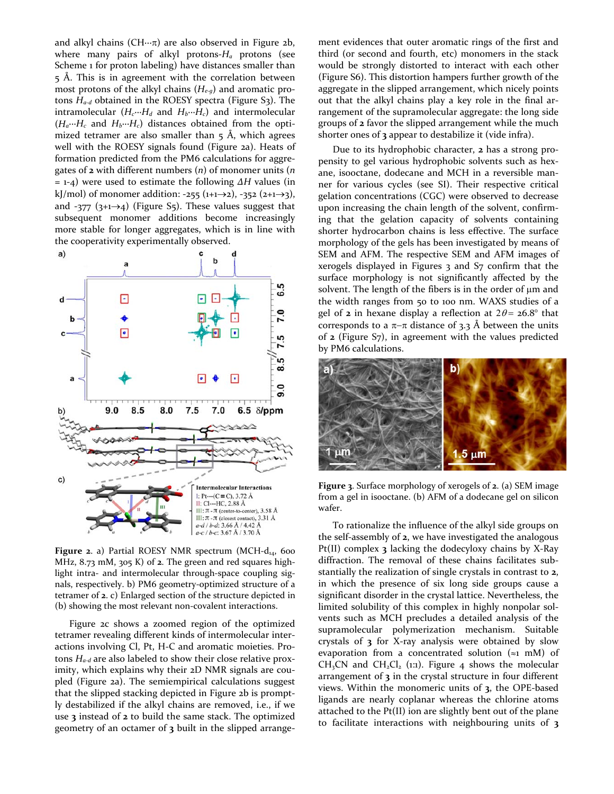and alkyl chains (CH∙∙∙π) are also observed in Figure 2b, where many pairs of alkyl protons-*Ha* protons (see Scheme 1 for proton labeling) have distances smaller than 5 Å. This is in agreement with the correlation between most protons of the alkyl chains (*He-g*) and aromatic protons *Ha-d* obtained in the ROESY spectra (Figure S3). The intramolecular (*Hc*∙∙∙*Hd* and *Hb*∙∙∙*Hc*) and intermolecular (*Ha*∙∙∙*Hc* and *Hb*∙∙∙*Hc*) distances obtained from the optimized tetramer are also smaller than  $5$  Å, which agrees well with the ROESY signals found (Figure 2a). Heats of formation predicted from the PM6 calculations for aggregates of **2** with different numbers (*n*) of monomer units (*n* = 1-4) were used to estimate the following *ΔH* values (in kJ/mol) of monomer addition: -255 (1+1→2), -352 (2+1→3), and -377  $(3+1\rightarrow4)$  (Figure S5). These values suggest that subsequent monomer additions become increasingly more stable for longer aggregates, which is in line with the cooperativity experimentally observed.



Figure 2. a) Partial ROESY NMR spectrum (MCH-d<sub>14</sub>, 600 MHz, 8.73 mM, 305 K) of **2**. The green and red squares highlight intra- and intermolecular through-space coupling signals, respectively. b) PM6 geometry-optimized structure of a tetramer of **2**. c) Enlarged section of the structure depicted in (b) showing the most relevant non-covalent interactions.

 Figure 2c shows a zoomed region of the optimized tetramer revealing different kinds of intermolecular interactions involving Cl, Pt, H-C and aromatic moieties. Protons *Ha-d* are also labeled to show their close relative proximity, which explains why their 2D NMR signals are coupled (Figure 2a). The semiempirical calculations suggest that the slipped stacking depicted in Figure 2b is promptly destabilized if the alkyl chains are removed, i.e., if we use **3** instead of **2** to build the same stack. The optimized geometry of an octamer of **3** built in the slipped arrange-

ment evidences that outer aromatic rings of the first and third (or second and fourth, etc) monomers in the stack would be strongly distorted to interact with each other (Figure S6). This distortion hampers further growth of the aggregate in the slipped arrangement, which nicely points out that the alkyl chains play a key role in the final arrangement of the supramolecular aggregate: the long side groups of **2** favor the slipped arrangement while the much shorter ones of **3** appear to destabilize it (vide infra).

 Due to its hydrophobic character, **2** has a strong propensity to gel various hydrophobic solvents such as hexane, isooctane, dodecane and MCH in a reversible manner for various cycles (see SI). Their respective critical gelation concentrations (CGC) were observed to decrease upon increasing the chain length of the solvent, confirming that the gelation capacity of solvents containing shorter hydrocarbon chains is less effective. The surface morphology of the gels has been investigated by means of SEM and AFM. The respective SEM and AFM images of xerogels displayed in Figures 3 and S7 confirm that the surface morphology is not significantly affected by the solvent. The length of the fibers is in the order of  $\mu$ m and the width ranges from 50 to 100 nm. WAXS studies of a gel of **2** in hexane display a reflection at  $2\theta = 26.8^\circ$  that corresponds to a  $π−π$  distance of 3.3 Å between the units of **2** (Figure S7), in agreement with the values predicted by PM6 calculations.



**Figure 3**. Surface morphology of xerogels of **2**. (a) SEM image from a gel in isooctane. (b) AFM of a dodecane gel on silicon wafer.

 To rationalize the influence of the alkyl side groups on the self-assembly of **2**, we have investigated the analogous Pt(II) complex **3** lacking the dodecyloxy chains by X-Ray diffraction. The removal of these chains facilitates substantially the realization of single crystals in contrast to **2**, in which the presence of six long side groups cause a significant disorder in the crystal lattice. Nevertheless, the limited solubility of this complex in highly nonpolar solvents such as MCH precludes a detailed analysis of the supramolecular polymerization mechanism. Suitable crystals of **3** for X-ray analysis were obtained by slow evaporation from a concentrated solution  $(\approx 1 \text{ mM})$  of  $CH<sub>3</sub>CN$  and  $CH<sub>2</sub>Cl<sub>2</sub>$  (1:1). Figure 4 shows the molecular arrangement of **3** in the crystal structure in four different views. Within the monomeric units of **3**, the OPE-based ligands are nearly coplanar whereas the chlorine atoms attached to the Pt(II) ion are slightly bent out of the plane to facilitate interactions with neighbouring units of **3**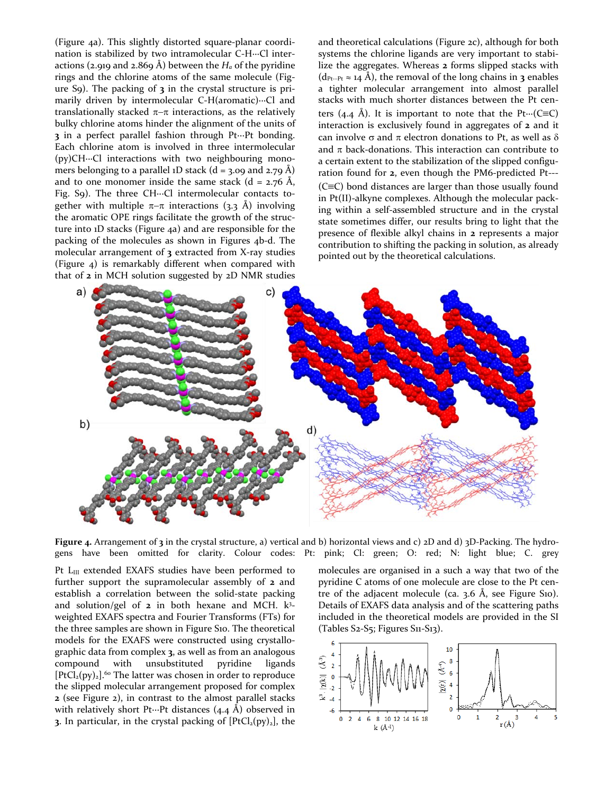(Figure 4a). This slightly distorted square-planar coordination is stabilized by two intramolecular C-H∙∙∙Cl interactions (2.919 and 2.869 Å) between the  $H_a$  of the pyridine rings and the chlorine atoms of the same molecule (Figure S9). The packing of **3** in the crystal structure is primarily driven by intermolecular C-H(aromatic)∙∙∙Cl and translationally stacked  $\pi-\pi$  interactions, as the relatively bulky chlorine atoms hinder the alignment of the units of **3** in a perfect parallel fashion through Pt∙∙∙Pt bonding. Each chlorine atom is involved in three intermolecular (py)CH∙∙∙Cl interactions with two neighbouring monomers belonging to a parallel 1D stack ( $d = 3.09$  and 2.79 Å) and to one monomer inside the same stack (d =  $2.76$  Å, Fig. S9). The three CH∙∙∙Cl intermolecular contacts together with multiple  $\pi-\pi$  interactions (3.3 Å) involving the aromatic OPE rings facilitate the growth of the structure into 1D stacks (Figure 4a) and are responsible for the packing of the molecules as shown in Figures 4b-d. The molecular arrangement of **3** extracted from X-ray studies (Figure 4) is remarkably different when compared with that of **2** in MCH solution suggested by 2D NMR studies

and theoretical calculations (Figure 2c), although for both systems the chlorine ligands are very important to stabilize the aggregates. Whereas **2** forms slipped stacks with (dPt∙∙∙Pt ≈ 14 Å), the removal of the long chains in **3** enables a tighter molecular arrangement into almost parallel stacks with much shorter distances between the Pt centers (4.4 Å). It is important to note that the Pt⋅⋅⋅(C≡C) interaction is exclusively found in aggregates of **2** and it can involve σ and π electron donations to Pt, as well as δ and  $\pi$  back-donations. This interaction can contribute to a certain extent to the stabilization of the slipped configuration found for **2**, even though the PM6-predicted Pt--- (C≡C) bond distances are larger than those usually found in Pt(II)-alkyne complexes. Although the molecular packing within a self-assembled structure and in the crystal state sometimes differ, our results bring to light that the presence of flexible alkyl chains in **2** represents a major contribution to shifting the packing in solution, as already pointed out by the theoretical calculations.



**Figure 4.** Arrangement of **3** in the crystal structure, a) vertical and b) horizontal views and c) 2D and d) 3D-Packing. The hydrogens have been omitted for clarity. Colour codes: Pt: pink; Cl: green; O: red; N: light blue; C. grey

Pt L<sub>III</sub> extended EXAFS studies have been performed to further support the supramolecular assembly of **2** and establish a correlation between the solid-state packing and solution/gel of **2** in both hexane and MCH. k3 weighted EXAFS spectra and Fourier Transforms (FTs) for the three samples are shown in Figure S10. The theoretical models for the EXAFS were constructed using crystallographic data from complex **3**, as well as from an analogous compound with unsubstituted pyridine ligands  $[PtCl<sub>2</sub>(py)<sub>2</sub>].<sup>60</sup>$  The latter was chosen in order to reproduce the slipped molecular arrangement proposed for complex **2** (see Figure 2), in contrast to the almost parallel stacks with relatively short Pt…Pt distances (4.4 Å) observed in **3**. In particular, in the crystal packing of  $[PtCl<sub>2</sub>(py)<sub>2</sub>]$ , the

molecules are organised in a such a way that two of the pyridine C atoms of one molecule are close to the Pt centre of the adjacent molecule (ca.  $3.6$  Å, see Figure S10). Details of EXAFS data analysis and of the scattering paths included in the theoretical models are provided in the SI (Tables S2-S5; Figures S11-S13).

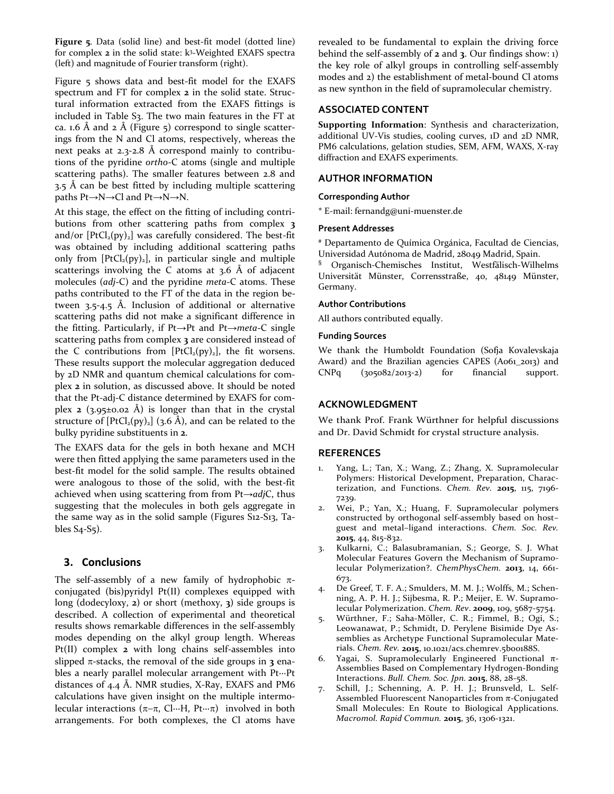**Figure 5**. Data (solid line) and best-fit model (dotted line) for complex **2** in the solid state: k3-Weighted EXAFS spectra (left) and magnitude of Fourier transform (right).

Figure 5 shows data and best-fit model for the EXAFS spectrum and FT for complex **2** in the solid state. Structural information extracted from the EXAFS fittings is included in Table S3. The two main features in the FT at ca. 1.6 Å and 2 Å (Figure 5) correspond to single scatterings from the N and Cl atoms, respectively, whereas the next peaks at 2.3-2.8 Å correspond mainly to contributions of the pyridine *ortho*-C atoms (single and multiple scattering paths). The smaller features between 2.8 and  $3.5$  Å can be best fitted by including multiple scattering paths Pt→N→Cl and Pt→N→N.

At this stage, the effect on the fitting of including contributions from other scattering paths from complex **3** and/or  $[PtCl<sub>2</sub>(py)<sub>2</sub>]$  was carefully considered. The best-fit was obtained by including additional scattering paths only from  $[PtCl<sub>2</sub>(py)<sub>2</sub>]$ , in particular single and multiple scatterings involving the C atoms at  $3.6$  Å of adjacent molecules (*adj*-C) and the pyridine *meta*-C atoms. These paths contributed to the FT of the data in the region between 3.5-4.5 Å. Inclusion of additional or alternative scattering paths did not make a significant difference in the fitting. Particularly, if Pt→Pt and Pt→*meta*-C single scattering paths from complex **3** are considered instead of the C contributions from  $[PtCl<sub>2</sub>(py)<sub>2</sub>]$ , the fit worsens. These results support the molecular aggregation deduced by 2D NMR and quantum chemical calculations for complex **2** in solution, as discussed above. It should be noted that the Pt-adj-C distance determined by EXAFS for complex **2** ( $3.95\pm0.02$  Å) is longer than that in the crystal structure of  $[PtCl<sub>2</sub>(py)<sub>2</sub>]$  (3.6 Å), and can be related to the bulky pyridine substituents in **2**.

The EXAFS data for the gels in both hexane and MCH were then fitted applying the same parameters used in the best-fit model for the solid sample. The results obtained were analogous to those of the solid, with the best-fit achieved when using scattering from from Pt→*adj*C, thus suggesting that the molecules in both gels aggregate in the same way as in the solid sample (Figures S12-S13, Tables S4-S5).

## **3. Conclusions**

The self-assembly of a new family of hydrophobic  $\pi$ conjugated (bis)pyridyl Pt(II) complexes equipped with long (dodecyloxy, **2**) or short (methoxy, **3**) side groups is described. A collection of experimental and theoretical results shows remarkable differences in the self-assembly modes depending on the alkyl group length. Whereas Pt(II) complex **2** with long chains self-assembles into slipped  $\pi$ -stacks, the removal of the side groups in **3** enables a nearly parallel molecular arrangement with Pt∙∙∙Pt distances of 4.4 Å. NMR studies, X-Ray, EXAFS and PM6 calculations have given insight on the multiple intermolecular interactions (π−π, Cl∙∙∙H, Pt∙∙∙π) involved in both arrangements. For both complexes, the Cl atoms have

revealed to be fundamental to explain the driving force behind the self-assembly of **2** and **3**. Our findings show: 1) the key role of alkyl groups in controlling self-assembly modes and 2) the establishment of metal-bound Cl atoms as new synthon in the field of supramolecular chemistry.

### **ASSOCIATED CONTENT**

**Supporting Information**: Synthesis and characterization, additional UV-Vis studies, cooling curves, 1D and 2D NMR, PM6 calculations, gelation studies, SEM, AFM, WAXS, X-ray diffraction and EXAFS experiments.

#### **AUTHOR INFORMATION**

#### **Corresponding Author**

\* E-mail: fernandg@uni-muenster.de

#### **Present Addresses**

# Departamento de Química Orgánica, Facultad de Ciencias, Universidad Autónoma de Madrid, 28049 Madrid, Spain. § Organisch-Chemisches Institut, Westfälisch-Wilhelms Universität Münster, Corrensstraße, 40, 48149 Münster, Germany.

#### **Author Contributions**

All authors contributed equally.

#### **Funding Sources**

We thank the Humboldt Foundation (Sofja Kovalevskaja Award) and the Brazilian agencies CAPES (A061\_2013) and CNPq (305082/2013-2) for financial support.

#### **ACKNOWLEDGMENT**

We thank Prof. Frank Würthner for helpful discussions and Dr. David Schmidt for crystal structure analysis.

#### **REFERENCES**

- 1. Yang, L.; Tan, X.; Wang, Z.; Zhang, X. Supramolecular Polymers: Historical Development, Preparation, Characterization, and Functions. *Chem. Rev.* **2015**, 115, 7196- 7239.
- 2. Wei, P.; Yan, X.; Huang, F. Supramolecular polymers constructed by orthogonal self-assembly based on host– guest and metal–ligand interactions. *Chem. Soc. Rev.* **2015**, 44, 815-832.
- Kulkarni, C.; Balasubramanian, S.; George, S. J. What Molecular Features Govern the Mechanism of Supramolecular Polymerization?. *ChemPhysChem.* **2013**, 14, 661- 673.
- 4. De Greef, T. F. A.; Smulders, M. M. J.; Wolffs, M.; Schenning, A. P. H. J.; Sijbesma, R. P.; Meijer, E. W. Supramolecular Polymerization. *Chem. Rev*. **2009**, 109, 5687-5754.
- 5. Würthner, F.; Saha-Möller, C. R.; Fimmel, B.; Ogi, S.; Leowanawat, P.; Schmidt, D. Perylene Bisimide Dye Assemblies as Archetype Functional Supramolecular Materials. *Chem. Rev.* **2015**, 10.1021/acs.chemrev.5b00188S.
- 6. Yagai, S. Supramolecularly Engineered Functional π-Assemblies Based on Complementary Hydrogen-Bonding Interactions. *Bull. Chem. Soc. Jpn.* **2015**, 88, 28-58.
- 7. Schill, J.; Schenning, A. P. H. J.; Brunsveld, L. Self-Assembled Fluorescent Nanoparticles from π-Conjugated Small Molecules: En Route to Biological Applications. *Macromol. Rapid Commun.* **2015**, 36, 1306-1321.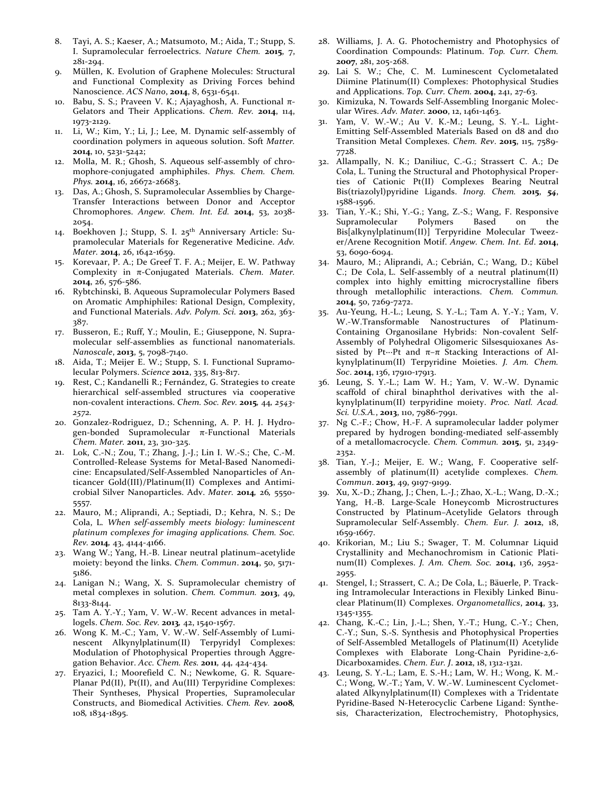- 8. Tayi, A. S.; Kaeser, A.; Matsumoto, M.; Aida, T.; Stupp, S. I. Supramolecular ferroelectrics. *Nature Chem.* **2015**, 7, 281-294.
- 9. Müllen, K. Evolution of Graphene Molecules: Structural and Functional Complexity as Driving Forces behind Nanoscience. *ACS Nano*, **2014**, 8, 6531-6541.
- 10. Babu, S. S.; Praveen V. K.; Ajayaghosh, A. Functional  $π$ -Gelators and Their Applications. *Chem. Rev.* **2014**, 114, 1973-2129.
- 11. Li, W.; Kim, Y.; Li, J.; Lee, M. Dynamic self-assembly of coordination polymers in aqueous solution. Soft *Matter.* **2014**, 10, 5231-5242;
- 12. Molla, M. R.; Ghosh, S. Aqueous self-assembly of chromophore-conjugated amphiphiles. *Phys. Chem. Chem. Phys.* **2014**, 16, 26672-26683.
- 13. Das, A.; Ghosh, S. Supramolecular Assemblies by Charge-Transfer Interactions between Donor and Acceptor Chromophores. *Angew. Chem. Int. Ed.* **2014**, 53, 2038- 2054.
- 14. Boekhoven J.; Stupp, S. I. 25<sup>th</sup> Anniversary Article: Supramolecular Materials for Regenerative Medicine. *Adv. Mater.* **2014**, 26, 1642-1659.
- 15. Korevaar, P. A.; De Greef T. F. A.; Meijer, E. W. Pathway Complexity in π-Conjugated Materials. *Chem. Mater.* **2014**, 26, 576-586.
- 16. Rybtchinski, B. Aqueous Supramolecular Polymers Based on Aromatic Amphiphiles: Rational Design, Complexity, and Functional Materials. *Adv. Polym. Sci.* **2013**, 262, 363- 387.
- 17. Busseron, E.; Ruff, Y.; Moulin, E.; Giuseppone, N. Supramolecular self-assemblies as functional nanomaterials. *Nanoscale*, **2013**, 5, 7098-7140.
- 18. Aida, T.; Meijer E. W.; Stupp, S. I. Functional Supramolecular Polymers. *Science* **2012**, 335, 813-817.
- 19. Rest, C.; Kandanelli R.; Fernández, G. Strategies to create hierarchical self-assembled structures via cooperative non-covalent interactions. *Chem. Soc. Rev.* **2015***,* 44*, 2543- 2572.*
- 20. Gonzalez-Rodriguez, D.; Schenning, A. P. H. J. Hydrogen-bonded Supramolecular π-Functional Materials *Chem. Mater.* **2011**, 23, 310-325.
- 21. Lok, C.-N.; Zou, T.; Zhang, J.-J.; Lin I. W.-S.; Che, C.-M. Controlled-Release Systems for Metal-Based Nanomedicine: Encapsulated/Self-Assembled Nanoparticles of Anticancer Gold(III)/Platinum(II) Complexes and Antimicrobial Silver Nanoparticles. Adv. *Mater.* **2014***,* 26*,* 5550- 5557*.*
- 22. Mauro, M.; Aliprandi, A.; Septiadi, D.; Kehra, N. S.; De Cola, L*. When self-assembly meets biology: luminescent platinum complexes for imaging applications. Chem. Soc. Rev.* **2014***,* 43, 4144-4166.
- 23. Wang W.; Yang, H.-B. Linear neutral platinum–acetylide moiety: beyond the links. *Chem. Commun*. **2014**, 50, 5171- 5186.
- 24. Lanigan N.; Wang, X. S. Supramolecular chemistry of metal complexes in solution. *Chem. Commun.* **2013**, 49, 8133-8144.
- 25. Tam A. Y.-Y.; Yam, V. W.-W. Recent advances in metallogels. *Chem. Soc. Rev.* **2013***,* 42, 1540-1567.
- 26. Wong K. M.-C.; Yam, V. W.-W. Self-Assembly of Luminescent Alkynylplatinum(II) Terpyridyl Complexes: Modulation of Photophysical Properties through Aggregation Behavior. *Acc. Chem. Res.* **2011***,* 44*,* 424-434*.*
- 27. Eryazici, I.; Moorefield C. N.; Newkome, G. R. Square-Planar Pd(II), Pt(II), and Au(III) Terpyridine Complexes: Their Syntheses, Physical Properties, Supramolecular Constructs, and Biomedical Activities. *Chem. Rev.* **2008***,*  108*,* 1834-1895.
- 28. Williams, J. A. G. Photochemistry and Photophysics of Coordination Compounds: Platinum. *Top. Curr. Chem.*  **2007**, 281, 205-268.
- 29. Lai S. W.; Che, C. M. Luminescent Cyclometalated Diimine Platinum(II) Complexes: Photophysical Studies and Applications. *Top. Curr. Chem.* **2004**, 241, 27-63.
- 30. Kimizuka, N. Towards Self-Assembling Inorganic Molecular Wires. *Adv. Mater.* **2000**, 12, 1461-1463.
- 31. Yam, V. W.-W.; Au V. K.-M.; Leung, S. Y.-L. Light-Emitting Self-Assembled Materials Based on d8 and d10 Transition Metal Complexes. *Chem. Rev*. **2015**, 115, 7589- 7728.
- 32. Allampally, N. K.; Daniliuc, C.-G.; Strassert C. A.; De Cola, L. Tuning the Structural and Photophysical Properties of Cationic Pt(II) Complexes Bearing Neutral Bis(triazolyl)pyridine Ligands. *Inorg. Chem.* **2015**, *54*, 1588-1596.
- 33. Tian, Y.-K.; Shi, Y.-G.; Yang, Z.-S.; Wang, F. Responsive Supramolecular Polymers Based on the Bis[alkynylplatinum(II)] Terpyridine Molecular Tweezer/Arene Recognition Motif. *Angew. Chem. Int. Ed*. **2014**, 53, 6090-6094.
- 34. Mauro, M.; Aliprandi, A.; Cebrián, C.; Wang, D.; Kübel C.; De Cola, L. Self-assembly of a neutral platinum(II) complex into highly emitting microcrystalline fibers through metallophilic interactions. *Chem. Commun.* **2014**, 50, 7269-7272.
- 35. Au-Yeung, H.-L.; Leung, S. Y.-L.; Tam A. Y.-Y.; Yam, V. W.-W.Transformable Nanostructures of Platinum-Containing Organosilane Hybrids: Non-covalent Self-Assembly of Polyhedral Oligomeric Silsesquioxanes Assisted by Pt $\cdots$ Pt and  $\pi-\pi$  Stacking Interactions of Alkynylplatinum(II) Terpyridine Moieties. *J. Am. Chem. Soc*. **2014**, 136, 17910-17913.
- 36. Leung, S. Y.-L.; Lam W. H.; Yam, V. W.-W. Dynamic scaffold of chiral binaphthol derivatives with the alkynylplatinum(II) terpyridine moiety. *Proc. Natl. Acad. Sci. U.S.A.*, **2013**, 110, 7986-7991.
- 37. Ng C.-F.; Chow, H.-F. A supramolecular ladder polymer prepared by hydrogen bonding-mediated self-assembly of a metallomacrocycle. *Chem. Commun.* **2015**, 51, 2349- 2352.
- 38. Tian, Y.-J.; Meijer, E. W.; Wang, F. Cooperative selfassembly of platinum(II) acetylide complexes. *Chem. Commun*. **2013**, 49, 9197-9199.
- 39. Xu, X.-D.; Zhang, J.; Chen, L.-J.; Zhao, X.-L.; Wang, D.-X.; Yang, H.-B. Large-Scale Honeycomb Microstructures Constructed by Platinum–Acetylide Gelators through Supramolecular Self-Assembly. *Chem. Eur. J.* **2012**, 18, 1659-1667.
- 40. Krikorian, M.; Liu S.; Swager, T. M. Columnar Liquid Crystallinity and Mechanochromism in Cationic Platinum(II) Complexes. *J. Am. Chem. Soc.* **2014**, 136, 2952- 2955.
- 41. Stengel, I.; Strassert, C. A.; De Cola, L.; Bäuerle, P. Tracking Intramolecular Interactions in Flexibly Linked Binuclear Platinum(II) Complexes. *Organometallics*, **2014**, 33, 1345-1355.
- 42. Chang, K.-C.; Lin, J.-L.; Shen, Y.-T.; Hung, C.-Y.; Chen, C.-Y.; Sun, S.-S. Synthesis and Photophysical Properties of Self-Assembled Metallogels of Platinum(II) Acetylide Complexes with Elaborate Long-Chain Pyridine-2,6- Dicarboxamides. *Chem. Eur. J*. **2012**, 18, 1312-1321.
- 43. Leung, S. Y.-L.; Lam, E. S.-H.; Lam, W. H.; Wong, K. M.- C.; Wong, W.-T.; Yam, V. W.-W. Luminescent Cyclometalated Alkynylplatinum(II) Complexes with a Tridentate Pyridine-Based N-Heterocyclic Carbene Ligand: Synthesis, Characterization, Electrochemistry, Photophysics,